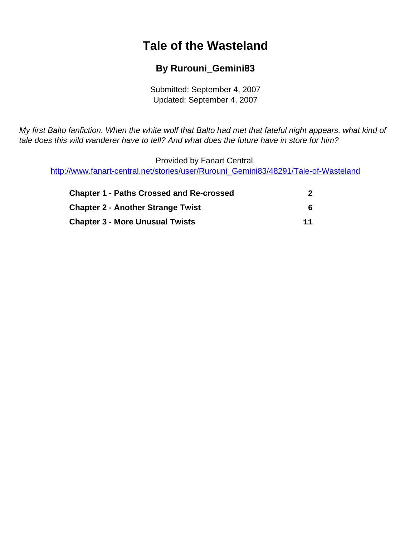# **Tale of the Wasteland**

### **By Rurouni\_Gemini83**

Submitted: September 4, 2007 Updated: September 4, 2007

<span id="page-0-0"></span>My first Balto fanfiction. When the white wolf that Balto had met that fateful night appears, what kind of tale does this wild wanderer have to tell? And what does the future have in store for him?

Provided by Fanart Central. [http://www.fanart-central.net/stories/user/Rurouni\\_Gemini83/48291/Tale-of-Wasteland](#page-0-0)

| <b>Chapter 1 - Paths Crossed and Re-crossed</b> |    |
|-------------------------------------------------|----|
| <b>Chapter 2 - Another Strange Twist</b>        | 6  |
| <b>Chapter 3 - More Unusual Twists</b>          | 11 |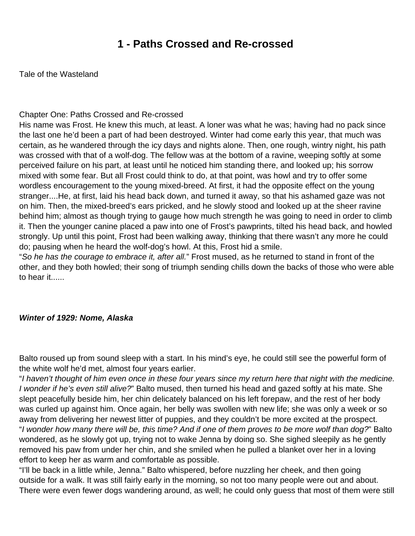### **1 - Paths Crossed and Re-crossed**

<span id="page-1-0"></span>Tale of the Wasteland

#### Chapter One: Paths Crossed and Re-crossed

His name was Frost. He knew this much, at least. A loner was what he was; having had no pack since the last one he'd been a part of had been destroyed. Winter had come early this year, that much was certain, as he wandered through the icy days and nights alone. Then, one rough, wintry night, his path was crossed with that of a wolf-dog. The fellow was at the bottom of a ravine, weeping softly at some perceived failure on his part, at least until he noticed him standing there, and looked up; his sorrow mixed with some fear. But all Frost could think to do, at that point, was howl and try to offer some wordless encouragement to the young mixed-breed. At first, it had the opposite effect on the young stranger....He, at first, laid his head back down, and turned it away, so that his ashamed gaze was not on him. Then, the mixed-breed's ears pricked, and he slowly stood and looked up at the sheer ravine behind him; almost as though trying to gauge how much strength he was going to need in order to climb it. Then the younger canine placed a paw into one of Frost's pawprints, tilted his head back, and howled strongly. Up until this point, Frost had been walking away, thinking that there wasn't any more he could do; pausing when he heard the wolf-dog's howl. At this, Frost hid a smile.

"So he has the courage to embrace it, after all." Frost mused, as he returned to stand in front of the other, and they both howled; their song of triumph sending chills down the backs of those who were able to hear it......

#### **Winter of 1929: Nome, Alaska**

Balto roused up from sound sleep with a start. In his mind's eye, he could still see the powerful form of the white wolf he'd met, almost four years earlier.

"I haven't thought of him even once in these four years since my return here that night with the medicine. I wonder if he's even still alive?" Balto mused, then turned his head and gazed softly at his mate. She slept peacefully beside him, her chin delicately balanced on his left forepaw, and the rest of her body was curled up against him. Once again, her belly was swollen with new life; she was only a week or so away from delivering her newest litter of puppies, and they couldn't be more excited at the prospect. "I wonder how many there will be, this time? And if one of them proves to be more wolf than dog?" Balto wondered, as he slowly got up, trying not to wake Jenna by doing so. She sighed sleepily as he gently removed his paw from under her chin, and she smiled when he pulled a blanket over her in a loving effort to keep her as warm and comfortable as possible.

"I'll be back in a little while, Jenna." Balto whispered, before nuzzling her cheek, and then going outside for a walk. It was still fairly early in the morning, so not too many people were out and about. There were even fewer dogs wandering around, as well; he could only guess that most of them were still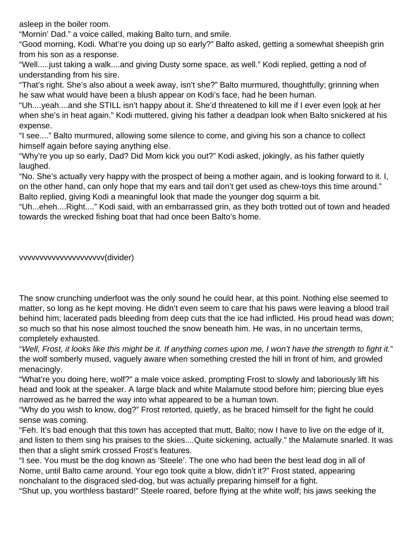asleep in the boiler room.

"Mornin' Dad." a voice called, making Balto turn, and smile.

"Good morning, Kodi. What're you doing up so early?" Balto asked, getting a somewhat sheepish grin from his son as a response.

"Well.....just taking a walk....and giving Dusty some space, as well." Kodi replied, getting a nod of understanding from his sire.

"That's right. She's also about a week away, isn't she?" Balto murmured, thoughtfully; grinning when he saw what would have been a blush appear on Kodi's face, had he been human.

"Uh....yeah....and she STILL isn't happy about it. She'd threatened to kill me if I ever even <u>look</u> at her when she's in heat again." Kodi muttered, giving his father a deadpan look when Balto snickered at his expense.

"I see...." Balto murmured, allowing some silence to come, and giving his son a chance to collect himself again before saying anything else.

"Why're you up so early, Dad? Did Mom kick you out?" Kodi asked, jokingly, as his father quietly laughed.

"No. She's actually very happy with the prospect of being a mother again, and is looking forward to it. I, on the other hand, can only hope that my ears and tail don't get used as chew-toys this time around." Balto replied, giving Kodi a meaningful look that made the younger dog squirm a bit.

"Uh...eheh....Right...." Kodi said, with an embarrassed grin, as they both trotted out of town and headed towards the wrecked fishing boat that had once been Balto's home.

vvvvvvvvvvvvvvvvvvvvv(divider)

The snow crunching underfoot was the only sound he could hear, at this point. Nothing else seemed to matter, so long as he kept moving. He didn't even seem to care that his paws were leaving a blood trail behind him; lacerated pads bleeding from deep cuts that the ice had inflicted. His proud head was down; so much so that his nose almost touched the snow beneath him. He was, in no uncertain terms, completely exhausted.

"Well, Frost, it looks like this might be it. If anything comes upon me, I won't have the strength to fight it." the wolf somberly mused, vaguely aware when something crested the hill in front of him, and growled menacingly.

"What're you doing here, wolf?" a male voice asked, prompting Frost to slowly and laboriously lift his head and look at the speaker. A large black and white Malamute stood before him; piercing blue eyes narrowed as he barred the way into what appeared to be a human town.

"Why do you wish to know, dog?" Frost retorted, quietly, as he braced himself for the fight he could sense was coming.

"Feh. It's bad enough that this town has accepted that mutt, Balto; now I have to live on the edge of it, and listen to them sing his praises to the skies....Quite sickening, actually." the Malamute snarled. It was then that a slight smirk crossed Frost's features.

"I see. You must be the dog known as 'Steele'. The one who had been the best lead dog in all of Nome, until Balto came around. Your ego took quite a blow, didn't it?" Frost stated, appearing nonchalant to the disgraced sled-dog, but was actually preparing himself for a fight.

"Shut up, you worthless bastard!" Steele roared, before flying at the white wolf; his jaws seeking the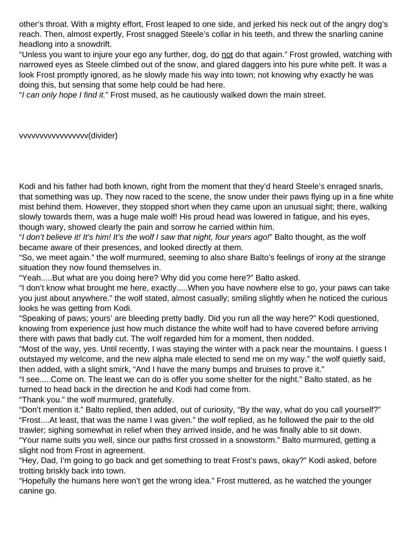other's throat. With a mighty effort, Frost leaped to one side, and jerked his neck out of the angry dog's reach. Then, almost expertly, Frost snagged Steele's collar in his teeth, and threw the snarling canine headlong into a snowdrift.

"Unless you want to injure your ego any further, dog, do not do that again." Frost growled, watching with narrowed eyes as Steele climbed out of the snow, and glared daggers into his pure white pelt. It was a look Frost promptly ignored, as he slowly made his way into town; not knowing why exactly he was doing this, but sensing that some help could be had here.

"I can only hope I find it." Frost mused, as he cautiously walked down the main street.

vvvvvvvvvvvvvvvvv(divider)

Kodi and his father had both known, right from the moment that they'd heard Steele's enraged snarls, that something was up. They now raced to the scene, the snow under their paws flying up in a fine white mist behind them. However, they stopped short when they came upon an unusual sight; there, walking slowly towards them, was a huge male wolf! His proud head was lowered in fatigue, and his eyes, though wary, showed clearly the pain and sorrow he carried within him.

"I don't believe it! It's him! It's the wolf I saw that night, four years ago!" Balto thought, as the wolf became aware of their presences, and looked directly at them.

"So, we meet again." the wolf murmured, seeming to also share Balto's feelings of irony at the strange situation they now found themselves in.

"Yeah.....But what are you doing here? Why did you come here?" Balto asked.

"I don't know what brought me here, exactly.....When you have nowhere else to go, your paws can take you just about anywhere." the wolf stated, almost casually; smiling slightly when he noticed the curious looks he was getting from Kodi.

"Speaking of paws; yours' are bleeding pretty badly. Did you run all the way here?" Kodi questioned, knowing from experience just how much distance the white wolf had to have covered before arriving there with paws that badly cut. The wolf regarded him for a moment, then nodded.

"Most of the way, yes. Until recently, I was staying the winter with a pack near the mountains. I guess I outstayed my welcome, and the new alpha male elected to send me on my way." the wolf quietly said, then added, with a slight smirk, "And I have the many bumps and bruises to prove it."

"I see.....Come on. The least we can do is offer you some shelter for the night." Balto stated, as he turned to head back in the direction he and Kodi had come from.

"Thank you." the wolf murmured, gratefully.

"Don't mention it." Balto replied, then added, out of curiosity, "By the way, what do you call yourself?" "Frost....At least, that was the name I was given." the wolf replied, as he followed the pair to the old trawler; sighing somewhat in relief when they arrived inside, and he was finally able to sit down.

"Your name suits you well, since our paths first crossed in a snowstorm." Balto murmured, getting a slight nod from Frost in agreement.

"Hey, Dad, I'm going to go back and get something to treat Frost's paws, okay?" Kodi asked, before trotting briskly back into town.

"Hopefully the humans here won't get the wrong idea." Frost muttered, as he watched the younger canine go.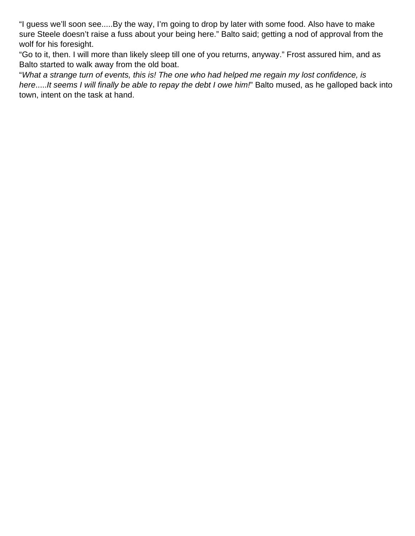"I guess we'll soon see.....By the way, I'm going to drop by later with some food. Also have to make sure Steele doesn't raise a fuss about your being here." Balto said; getting a nod of approval from the wolf for his foresight.

"Go to it, then. I will more than likely sleep till one of you returns, anyway." Frost assured him, and as Balto started to walk away from the old boat.

"What a strange turn of events, this is! The one who had helped me regain my lost confidence, is here.....It seems I will finally be able to repay the debt I owe him!" Balto mused, as he galloped back into town, intent on the task at hand.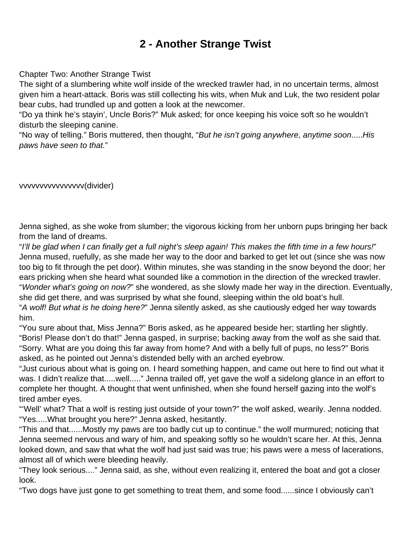# **2 - Another Strange Twist**

<span id="page-5-0"></span>Chapter Two: Another Strange Twist

The sight of a slumbering white wolf inside of the wrecked trawler had, in no uncertain terms, almost given him a heart-attack. Boris was still collecting his wits, when Muk and Luk, the two resident polar bear cubs, had trundled up and gotten a look at the newcomer.

"Do ya think he's stayin', Uncle Boris?" Muk asked; for once keeping his voice soft so he wouldn't disturb the sleeping canine.

"No way of telling." Boris muttered, then thought, "But he isn't going anywhere, anytime soon.....His paws have seen to that."

vvvvvvvvvvvvvvvv(divider)

Jenna sighed, as she woke from slumber; the vigorous kicking from her unborn pups bringing her back from the land of dreams.

"I'll be glad when I can finally get a full night's sleep again! This makes the fifth time in a few hours!" Jenna mused, ruefully, as she made her way to the door and barked to get let out (since she was now too big to fit through the pet door). Within minutes, she was standing in the snow beyond the door; her ears pricking when she heard what sounded like a commotion in the direction of the wrecked trawler. "Wonder what's going on now?" she wondered, as she slowly made her way in the direction. Eventually, she did get there, and was surprised by what she found, sleeping within the old boat's hull.

"A wolf! But what is he doing here?" Jenna silently asked, as she cautiously edged her way towards him.

"You sure about that, Miss Jenna?" Boris asked, as he appeared beside her; startling her slightly. "Boris! Please don't do that!" Jenna gasped, in surprise; backing away from the wolf as she said that. "Sorry. What are you doing this far away from home? And with a belly full of pups, no less?" Boris asked, as he pointed out Jenna's distended belly with an arched eyebrow.

"Just curious about what is going on. I heard something happen, and came out here to find out what it was. I didn't realize that.....well....." Jenna trailed off, yet gave the wolf a sidelong glance in an effort to complete her thought. A thought that went unfinished, when she found herself gazing into the wolf's tired amber eyes.

"'Well' what? That a wolf is resting just outside of your town?" the wolf asked, wearily. Jenna nodded. "Yes.....What brought you here?" Jenna asked, hesitantly.

"This and that......Mostly my paws are too badly cut up to continue." the wolf murmured; noticing that Jenna seemed nervous and wary of him, and speaking softly so he wouldn't scare her. At this, Jenna looked down, and saw that what the wolf had just said was true; his paws were a mess of lacerations, almost all of which were bleeding heavily.

"They look serious...." Jenna said, as she, without even realizing it, entered the boat and got a closer look.

"Two dogs have just gone to get something to treat them, and some food......since I obviously can't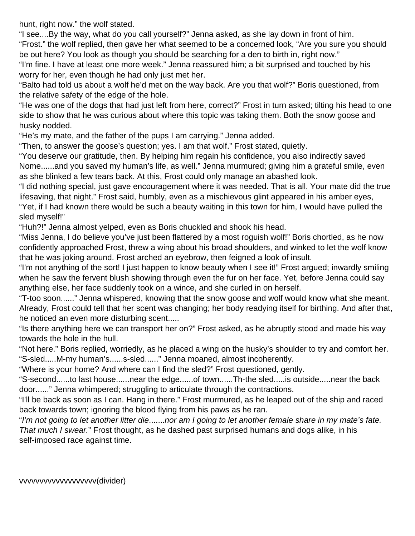hunt, right now." the wolf stated.

"I see....By the way, what do you call yourself?" Jenna asked, as she lay down in front of him. "Frost." the wolf replied, then gave her what seemed to be a concerned look, "Are you sure you should be out here? You look as though you should be searching for a den to birth in, right now."

"I'm fine. I have at least one more week." Jenna reassured him; a bit surprised and touched by his worry for her, even though he had only just met her.

"Balto had told us about a wolf he'd met on the way back. Are you that wolf?" Boris questioned, from the relative safety of the edge of the hole.

"He was one of the dogs that had just left from here, correct?" Frost in turn asked; tilting his head to one side to show that he was curious about where this topic was taking them. Both the snow goose and husky nodded.

"He's my mate, and the father of the pups I am carrying." Jenna added.

"Then, to answer the goose's question; yes. I am that wolf." Frost stated, quietly.

"You deserve our gratitude, then. By helping him regain his confidence, you also indirectly saved Nome......and you saved my human's life, as well." Jenna murmured; giving him a grateful smile, even as she blinked a few tears back. At this, Frost could only manage an abashed look.

"I did nothing special, just gave encouragement where it was needed. That is all. Your mate did the true lifesaving, that night." Frost said, humbly, even as a mischievous glint appeared in his amber eyes,

"Yet, if I had known there would be such a beauty waiting in this town for him, I would have pulled the sled myself!"

"Huh?!" Jenna almost yelped, even as Boris chuckled and shook his head.

"Miss Jenna, I do believe you've just been flattered by a most roguish wolf!" Boris chortled, as he now confidently approached Frost, threw a wing about his broad shoulders, and winked to let the wolf know that he was joking around. Frost arched an eyebrow, then feigned a look of insult.

"I'm not anything of the sort! I just happen to know beauty when I see it!" Frost argued; inwardly smiling when he saw the fervent blush showing through even the fur on her face. Yet, before Jenna could say anything else, her face suddenly took on a wince, and she curled in on herself.

"T-too soon......" Jenna whispered, knowing that the snow goose and wolf would know what she meant. Already, Frost could tell that her scent was changing; her body readying itself for birthing. And after that, he noticed an even more disturbing scent.....

"Is there anything here we can transport her on?" Frost asked, as he abruptly stood and made his way towards the hole in the hull.

"Not here." Boris replied, worriedly, as he placed a wing on the husky's shoulder to try and comfort her. "S-sled.....M-my human's......s-sled......" Jenna moaned, almost incoherently.

"Where is your home? And where can I find the sled?" Frost questioned, gently.

"S-second......to last house......near the edge......of town......Th-the sled.....is outside.....near the back door......" Jenna whimpered; struggling to articulate through the contractions.

"I'll be back as soon as I can. Hang in there." Frost murmured, as he leaped out of the ship and raced back towards town; ignoring the blood flying from his paws as he ran.

"I'm not going to let another litter die.......nor am I going to let another female share in my mate's fate. That much I swear." Frost thought, as he dashed past surprised humans and dogs alike, in his self-imposed race against time.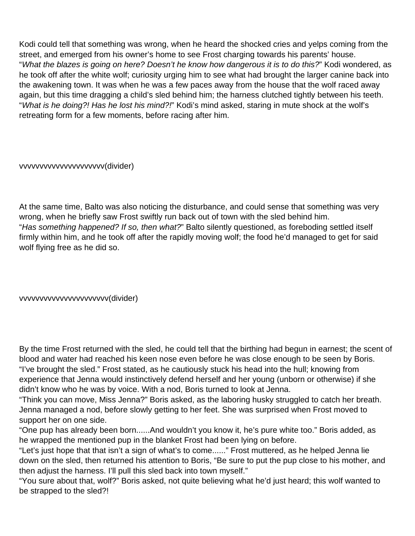Kodi could tell that something was wrong, when he heard the shocked cries and yelps coming from the street, and emerged from his owner's home to see Frost charging towards his parents' house. "What the blazes is going on here? Doesn't he know how dangerous it is to do this?" Kodi wondered, as he took off after the white wolf; curiosity urging him to see what had brought the larger canine back into the awakening town. It was when he was a few paces away from the house that the wolf raced away again, but this time dragging a child's sled behind him; the harness clutched tightly between his teeth. "What is he doing?! Has he lost his mind?!" Kodi's mind asked, staring in mute shock at the wolf's retreating form for a few moments, before racing after him.

vvvvvvvvvvvvvvvvvvvvv(divider)

At the same time, Balto was also noticing the disturbance, and could sense that something was very wrong, when he briefly saw Frost swiftly run back out of town with the sled behind him. "Has something happened? If so, then what?" Balto silently questioned, as foreboding settled itself firmly within him, and he took off after the rapidly moving wolf; the food he'd managed to get for said wolf flying free as he did so.

vvvvvvvvvvvvvvvvvvvvvv(divider)

By the time Frost returned with the sled, he could tell that the birthing had begun in earnest; the scent of blood and water had reached his keen nose even before he was close enough to be seen by Boris. "I've brought the sled." Frost stated, as he cautiously stuck his head into the hull; knowing from experience that Jenna would instinctively defend herself and her young (unborn or otherwise) if she didn't know who he was by voice. With a nod, Boris turned to look at Jenna.

"Think you can move, Miss Jenna?" Boris asked, as the laboring husky struggled to catch her breath. Jenna managed a nod, before slowly getting to her feet. She was surprised when Frost moved to support her on one side.

"One pup has already been born......And wouldn't you know it, he's pure white too." Boris added, as he wrapped the mentioned pup in the blanket Frost had been lying on before.

"Let's just hope that that isn't a sign of what's to come......" Frost muttered, as he helped Jenna lie down on the sled, then returned his attention to Boris, "Be sure to put the pup close to his mother, and then adjust the harness. I'll pull this sled back into town myself."

"You sure about that, wolf?" Boris asked, not quite believing what he'd just heard; this wolf wanted to be strapped to the sled?!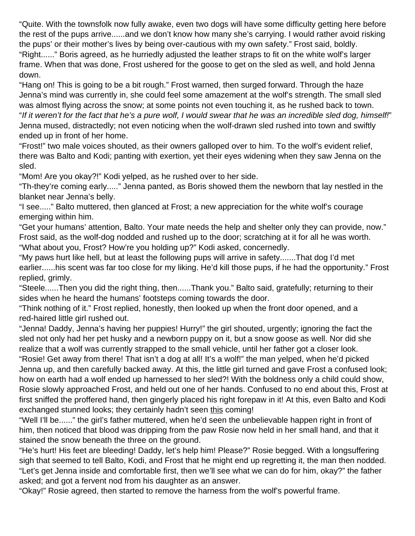"Quite. With the townsfolk now fully awake, even two dogs will have some difficulty getting here before the rest of the pups arrive......and we don't know how many she's carrying. I would rather avoid risking the pups' or their mother's lives by being over-cautious with my own safety." Frost said, boldly. "Right......" Boris agreed, as he hurriedly adjusted the leather straps to fit on the white wolf's larger frame. When that was done, Frost ushered for the goose to get on the sled as well, and hold Jenna down.

"Hang on! This is going to be a bit rough." Frost warned, then surged forward. Through the haze Jenna's mind was currently in, she could feel some amazement at the wolf's strength. The small sled was almost flying across the snow; at some points not even touching it, as he rushed back to town. "If it weren't for the fact that he's a pure wolf, I would swear that he was an incredible sled dog, himself!" Jenna mused, distractedly; not even noticing when the wolf-drawn sled rushed into town and swiftly ended up in front of her home.

"Frost!" two male voices shouted, as their owners galloped over to him. To the wolf's evident relief, there was Balto and Kodi; panting with exertion, yet their eyes widening when they saw Jenna on the sled.

"Mom! Are you okay?!" Kodi yelped, as he rushed over to her side.

"Th-they're coming early....." Jenna panted, as Boris showed them the newborn that lay nestled in the blanket near Jenna's belly.

"I see....." Balto muttered, then glanced at Frost; a new appreciation for the white wolf's courage emerging within him.

"Get your humans' attention, Balto. Your mate needs the help and shelter only they can provide, now." Frost said, as the wolf-dog nodded and rushed up to the door; scratching at it for all he was worth. "What about you, Frost? How're you holding up?" Kodi asked, concernedly.

"My paws hurt like hell, but at least the following pups will arrive in safety.......That dog I'd met earlier......his scent was far too close for my liking. He'd kill those pups, if he had the opportunity." Frost replied, grimly.

"Steele......Then you did the right thing, then......Thank you." Balto said, gratefully; returning to their sides when he heard the humans' footsteps coming towards the door.

"Think nothing of it." Frost replied, honestly, then looked up when the front door opened, and a red-haired little girl rushed out.

"Jenna! Daddy, Jenna's having her puppies! Hurry!" the girl shouted, urgently; ignoring the fact the sled not only had her pet husky and a newborn puppy on it, but a snow goose as well. Nor did she realize that a wolf was currently strapped to the small vehicle, until her father got a closer look.

"Rosie! Get away from there! That isn't a dog at all! It's a wolf!" the man yelped, when he'd picked Jenna up, and then carefully backed away. At this, the little girl turned and gave Frost a confused look; how on earth had a wolf ended up harnessed to her sled?! With the boldness only a child could show, Rosie slowly approached Frost, and held out one of her hands. Confused to no end about this, Frost at first sniffed the proffered hand, then gingerly placed his right forepaw in it! At this, even Balto and Kodi exchanged stunned looks; they certainly hadn't seen this coming!

"Well I'll be......" the girl's father muttered, when he'd seen the unbelievable happen right in front of him, then noticed that blood was dripping from the paw Rosie now held in her small hand, and that it stained the snow beneath the three on the ground.

"He's hurt! His feet are bleeding! Daddy, let's help him! Please?" Rosie begged. With a longsuffering sigh that seemed to tell Balto, Kodi, and Frost that he might end up regretting it, the man then nodded. "Let's get Jenna inside and comfortable first, then we'll see what we can do for him, okay?" the father asked; and got a fervent nod from his daughter as an answer.

"Okay!" Rosie agreed, then started to remove the harness from the wolf's powerful frame.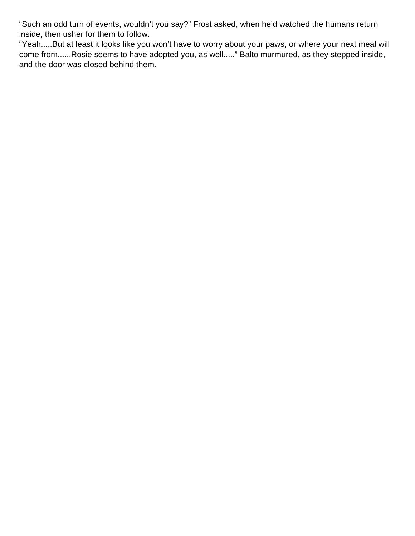"Such an odd turn of events, wouldn't you say?" Frost asked, when he'd watched the humans return inside, then usher for them to follow.

"Yeah.....But at least it looks like you won't have to worry about your paws, or where your next meal will come from......Rosie seems to have adopted you, as well....." Balto murmured, as they stepped inside, and the door was closed behind them.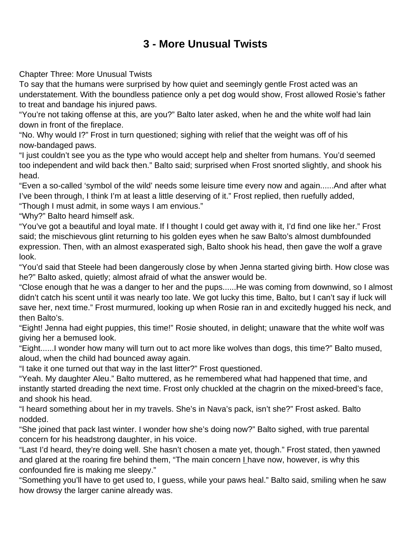### **3 - More Unusual Twists**

<span id="page-10-0"></span>Chapter Three: More Unusual Twists

To say that the humans were surprised by how quiet and seemingly gentle Frost acted was an understatement. With the boundless patience only a pet dog would show, Frost allowed Rosie's father to treat and bandage his injured paws.

"You're not taking offense at this, are you?" Balto later asked, when he and the white wolf had lain down in front of the fireplace.

"No. Why would I?" Frost in turn questioned; sighing with relief that the weight was off of his now-bandaged paws.

"I just couldn't see you as the type who would accept help and shelter from humans. You'd seemed too independent and wild back then." Balto said; surprised when Frost snorted slightly, and shook his head.

"Even a so-called 'symbol of the wild' needs some leisure time every now and again......And after what I've been through, I think I'm at least a little deserving of it." Frost replied, then ruefully added, "Though I must admit, in some ways I am envious."

"Why?" Balto heard himself ask.

"You've got a beautiful and loyal mate. If I thought I could get away with it, I'd find one like her." Frost said; the mischievous glint returning to his golden eyes when he saw Balto's almost dumbfounded expression. Then, with an almost exasperated sigh, Balto shook his head, then gave the wolf a grave look.

"You'd said that Steele had been dangerously close by when Jenna started giving birth. How close was he?" Balto asked, quietly; almost afraid of what the answer would be.

"Close enough that he was a danger to her and the pups......He was coming from downwind, so I almost didn't catch his scent until it was nearly too late. We got lucky this time, Balto, but I can't say if luck will save her, next time." Frost murmured, looking up when Rosie ran in and excitedly hugged his neck, and then Balto's.

"Eight! Jenna had eight puppies, this time!" Rosie shouted, in delight; unaware that the white wolf was giving her a bemused look.

"Eight......I wonder how many will turn out to act more like wolves than dogs, this time?" Balto mused, aloud, when the child had bounced away again.

"I take it one turned out that way in the last litter?" Frost questioned.

"Yeah. My daughter Aleu." Balto muttered, as he remembered what had happened that time, and instantly started dreading the next time. Frost only chuckled at the chagrin on the mixed-breed's face, and shook his head.

"I heard something about her in my travels. She's in Nava's pack, isn't she?" Frost asked. Balto nodded.

"She joined that pack last winter. I wonder how she's doing now?" Balto sighed, with true parental concern for his headstrong daughter, in his voice.

"Last I'd heard, they're doing well. She hasn't chosen a mate yet, though." Frost stated, then yawned and glared at the roaring fire behind them, "The main concern  $L$  have now, however, is why this confounded fire is making me sleepy."

"Something you'll have to get used to, I guess, while your paws heal." Balto said, smiling when he saw how drowsy the larger canine already was.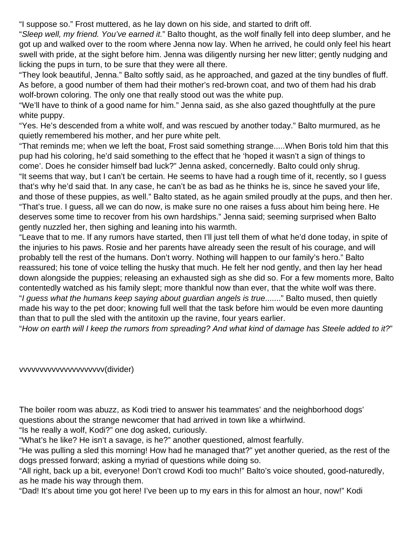"I suppose so." Frost muttered, as he lay down on his side, and started to drift off.

"Sleep well, my friend. You've earned it." Balto thought, as the wolf finally fell into deep slumber, and he got up and walked over to the room where Jenna now lay. When he arrived, he could only feel his heart swell with pride, at the sight before him. Jenna was diligently nursing her new litter; gently nudging and licking the pups in turn, to be sure that they were all there.

"They look beautiful, Jenna." Balto softly said, as he approached, and gazed at the tiny bundles of fluff. As before, a good number of them had their mother's red-brown coat, and two of them had his drab wolf-brown coloring. The only one that really stood out was the white pup.

"We'll have to think of a good name for him." Jenna said, as she also gazed thoughtfully at the pure white puppy.

"Yes. He's descended from a white wolf, and was rescued by another today." Balto murmured, as he quietly remembered his mother, and her pure white pelt.

"That reminds me; when we left the boat, Frost said something strange.....When Boris told him that this pup had his coloring, he'd said something to the effect that he 'hoped it wasn't a sign of things to come'. Does he consider himself bad luck?" Jenna asked, concernedly. Balto could only shrug. "It seems that way, but I can't be certain. He seems to have had a rough time of it, recently, so I guess that's why he'd said that. In any case, he can't be as bad as he thinks he is, since he saved your life, and those of these puppies, as well." Balto stated, as he again smiled proudly at the pups, and then her. "That's true. I guess, all we can do now, is make sure no one raises a fuss about him being here. He deserves some time to recover from his own hardships." Jenna said; seeming surprised when Balto gently nuzzled her, then sighing and leaning into his warmth.

"Leave that to me. If any rumors have started, then I'll just tell them of what he'd done today, in spite of the injuries to his paws. Rosie and her parents have already seen the result of his courage, and will probably tell the rest of the humans. Don't worry. Nothing will happen to our family's hero." Balto reassured; his tone of voice telling the husky that much. He felt her nod gently, and then lay her head down alongside the puppies; releasing an exhausted sigh as she did so. For a few moments more, Balto contentedly watched as his family slept; more thankful now than ever, that the white wolf was there. "I guess what the humans keep saying about guardian angels is true......." Balto mused, then quietly made his way to the pet door; knowing full well that the task before him would be even more daunting than that to pull the sled with the antitoxin up the ravine, four years earlier.

"How on earth will I keep the rumors from spreading? And what kind of damage has Steele added to it?"

vvvvvvvvvvvvvvvvvvvvv(divider)

The boiler room was abuzz, as Kodi tried to answer his teammates' and the neighborhood dogs' questions about the strange newcomer that had arrived in town like a whirlwind.

"Is he really a wolf, Kodi?" one dog asked, curiously.

"What's he like? He isn't a savage, is he?" another questioned, almost fearfully.

"He was pulling a sled this morning! How had he managed that?" yet another queried, as the rest of the dogs pressed forward; asking a myriad of questions while doing so.

"All right, back up a bit, everyone! Don't crowd Kodi too much!" Balto's voice shouted, good-naturedly, as he made his way through them.

"Dad! It's about time you got here! I've been up to my ears in this for almost an hour, now!" Kodi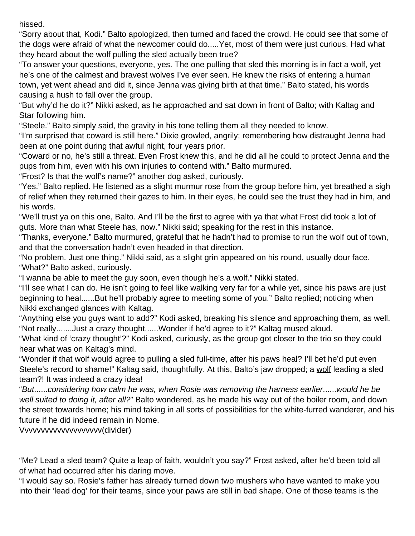hissed.

"Sorry about that, Kodi." Balto apologized, then turned and faced the crowd. He could see that some of the dogs were afraid of what the newcomer could do.....Yet, most of them were just curious. Had what they heard about the wolf pulling the sled actually been true?

"To answer your questions, everyone, yes. The one pulling that sled this morning is in fact a wolf, yet he's one of the calmest and bravest wolves I've ever seen. He knew the risks of entering a human town, yet went ahead and did it, since Jenna was giving birth at that time." Balto stated, his words causing a hush to fall over the group.

"But why'd he do it?" Nikki asked, as he approached and sat down in front of Balto; with Kaltag and Star following him.

"Steele." Balto simply said, the gravity in his tone telling them all they needed to know.

"I'm surprised that coward is still here." Dixie growled, angrily; remembering how distraught Jenna had been at one point during that awful night, four years prior.

"Coward or no, he's still a threat. Even Frost knew this, and he did all he could to protect Jenna and the pups from him, even with his own injuries to contend with." Balto murmured.

"Frost? Is that the wolf's name?" another dog asked, curiously.

"Yes." Balto replied. He listened as a slight murmur rose from the group before him, yet breathed a sigh of relief when they returned their gazes to him. In their eyes, he could see the trust they had in him, and his words.

"We'll trust ya on this one, Balto. And I'll be the first to agree with ya that what Frost did took a lot of guts. More than what Steele has, now." Nikki said; speaking for the rest in this instance.

"Thanks, everyone." Balto murmured, grateful that he hadn't had to promise to run the wolf out of town, and that the conversation hadn't even headed in that direction.

"No problem. Just one thing." Nikki said, as a slight grin appeared on his round, usually dour face. "What?" Balto asked, curiously.

"I wanna be able to meet the guy soon, even though he's a wolf." Nikki stated.

"I'll see what I can do. He isn't going to feel like walking very far for a while yet, since his paws are just beginning to heal......But he'll probably agree to meeting some of you." Balto replied; noticing when Nikki exchanged glances with Kaltag.

"Anything else you guys want to add?" Kodi asked, breaking his silence and approaching them, as well. "Not really.......Just a crazy thought......Wonder if he'd agree to it?" Kaltag mused aloud.

"What kind of 'crazy thought'?" Kodi asked, curiously, as the group got closer to the trio so they could hear what was on Kaltag's mind.

"Wonder if that wolf would agree to pulling a sled full-time, after his paws heal? I'll bet he'd put even Steele's record to shame!" Kaltag said, thoughtfully. At this, Balto's jaw dropped; a wolf leading a sled team?! It was indeed a crazy idea!

"But......considering how calm he was, when Rosie was removing the harness earlier......would he be well suited to doing it, after all?" Balto wondered, as he made his way out of the boiler room, and down the street towards home; his mind taking in all sorts of possibilities for the white-furred wanderer, and his future if he did indeed remain in Nome.

Vvvvvvvvvvvvvvvvvvvv(divider)

"Me? Lead a sled team? Quite a leap of faith, wouldn't you say?" Frost asked, after he'd been told all of what had occurred after his daring move.

"I would say so. Rosie's father has already turned down two mushers who have wanted to make you into their 'lead dog' for their teams, since your paws are still in bad shape. One of those teams is the